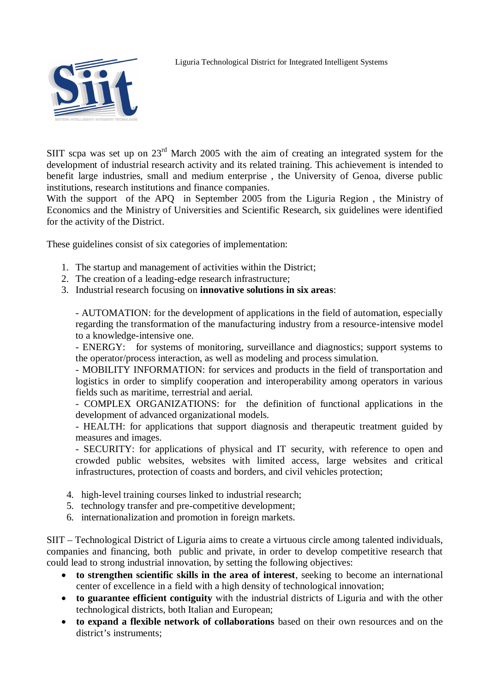

Liguria Technological District for Integrated Intelligent Systems

SIIT scpa was set up on  $23<sup>rd</sup>$  March 2005 with the aim of creating an integrated system for the development of industrial research activity and its related training. This achievement is intended to benefit large industries, small and medium enterprise , the University of Genoa, diverse public institutions, research institutions and finance companies.

With the support of the APQ in September 2005 from the Liguria Region , the Ministry of Economics and the Ministry of Universities and Scientific Research, six guidelines were identified for the activity of the District.

These guidelines consist of six categories of implementation:

- 1. The startup and management of activities within the District;
- 2. The creation of a leading-edge research infrastructure;
- 3. Industrial research focusing on **innovative solutions in six areas**:

- AUTOMATION: for the development of applications in the field of automation, especially regarding the transformation of the manufacturing industry from a resource-intensive model to a knowledge-intensive one.

- ENERGY: for systems of monitoring, surveillance and diagnostics; support systems to the operator/process interaction, as well as modeling and process simulation.

- MOBILITY INFORMATION: for services and products in the field of transportation and logistics in order to simplify cooperation and interoperability among operators in various fields such as maritime, terrestrial and aerial.

- COMPLEX ORGANIZATIONS: for the definition of functional applications in the development of advanced organizational models.

- HEALTH: for applications that support diagnosis and therapeutic treatment guided by measures and images.

- SECURITY: for applications of physical and IT security, with reference to open and crowded public websites, websites with limited access, large websites and critical infrastructures, protection of coasts and borders, and civil vehicles protection;

- 4. high-level training courses linked to industrial research;
- 5. technology transfer and pre-competitive development;
- 6. internationalization and promotion in foreign markets.

SIIT – Technological District of Liguria aims to create a virtuous circle among talented individuals, companies and financing, both public and private, in order to develop competitive research that could lead to strong industrial innovation, by setting the following objectives:

- **to strengthen scientific skills in the area of interest**, seeking to become an international center of excellence in a field with a high density of technological innovation;
- **to guarantee efficient contiguity** with the industrial districts of Liguria and with the other technological districts, both Italian and European;
- **to expand a flexible network of collaborations** based on their own resources and on the district's instruments;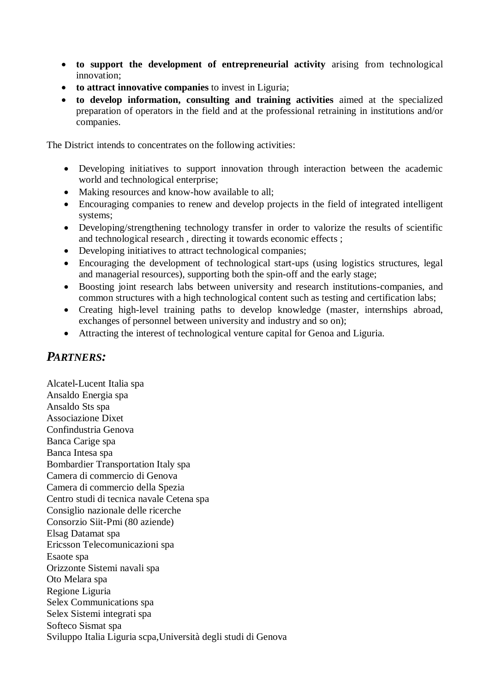- **to support the development of entrepreneurial activity** arising from technological innovation;
- **to attract innovative companies** to invest in Liguria;
- **to develop information, consulting and training activities** aimed at the specialized preparation of operators in the field and at the professional retraining in institutions and/or companies.

The District intends to concentrates on the following activities:

- Developing initiatives to support innovation through interaction between the academic world and technological enterprise;
- Making resources and know-how available to all;
- Encouraging companies to renew and develop projects in the field of integrated intelligent systems;
- Developing/strengthening technology transfer in order to valorize the results of scientific and technological research , directing it towards economic effects ;
- Developing initiatives to attract technological companies;
- Encouraging the development of technological start-ups (using logistics structures, legal and managerial resources), supporting both the spin-off and the early stage;
- Boosting joint research labs between university and research institutions-companies, and common structures with a high technological content such as testing and certification labs;
- Creating high-level training paths to develop knowledge (master, internships abroad, exchanges of personnel between university and industry and so on);
- Attracting the interest of technological venture capital for Genoa and Liguria.

## *PARTNERS:*

Alcatel-Lucent Italia spa Ansaldo Energia spa Ansaldo Sts spa Associazione Dixet Confindustria Genova Banca Carige spa Banca Intesa spa Bombardier Transportation Italy spa Camera di commercio di Genova Camera di commercio della Spezia Centro studi di tecnica navale Cetena spa Consiglio nazionale delle ricerche Consorzio Siit-Pmi (80 aziende) Elsag Datamat spa Ericsson Telecomunicazioni spa Esaote spa Orizzonte Sistemi navali spa Oto Melara spa Regione Liguria Selex Communications spa Selex Sistemi integrati spa Softeco Sismat spa Sviluppo Italia Liguria scpa,Università degli studi di Genova